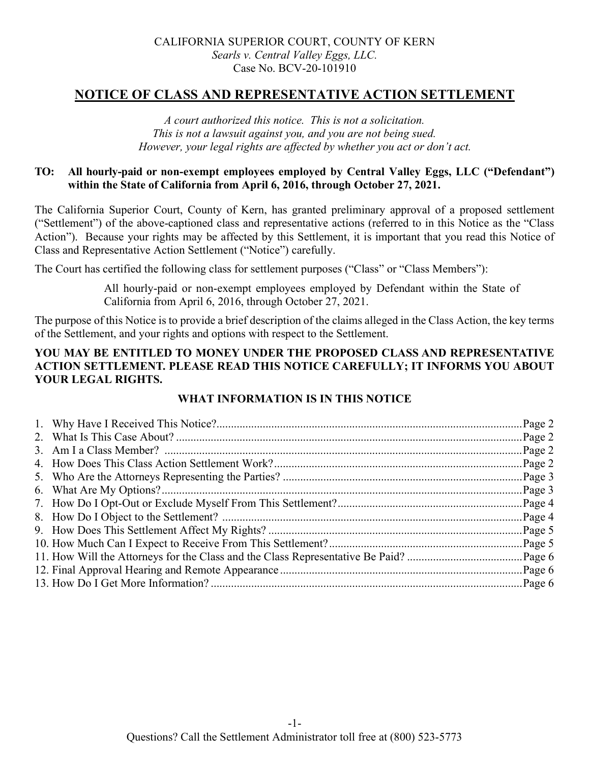#### CALIFORNIA SUPERIOR COURT, COUNTY OF KERN Searls v. Central Valley Eggs, LLC. Case No. BCV-20-101910

## NOTICE OF CLASS AND REPRESENTATIVE ACTION SETTLEMENT

A court authorized this notice. This is not a solicitation. This is not a lawsuit against you, and you are not being sued. However, your legal rights are affected by whether you act or don't act.

#### TO: All hourly-paid or non-exempt employees employed by Central Valley Eggs, LLC ("Defendant") within the State of California from April 6, 2016, through October 27, 2021.

The California Superior Court, County of Kern, has granted preliminary approval of a proposed settlement ("Settlement") of the above-captioned class and representative actions (referred to in this Notice as the "Class Action"). Because your rights may be affected by this Settlement, it is important that you read this Notice of Class and Representative Action Settlement ("Notice") carefully.

The Court has certified the following class for settlement purposes ("Class" or "Class Members"):

All hourly-paid or non-exempt employees employed by Defendant within the State of California from April 6, 2016, through October 27, 2021.

The purpose of this Notice is to provide a brief description of the claims alleged in the Class Action, the key terms of the Settlement, and your rights and options with respect to the Settlement.

### YOU MAY BE ENTITLED TO MONEY UNDER THE PROPOSED CLASS AND REPRESENTATIVE ACTION SETTLEMENT. PLEASE READ THIS NOTICE CAREFULLY; IT INFORMS YOU ABOUT YOUR LEGAL RIGHTS.

#### WHAT INFORMATION IS IN THIS NOTICE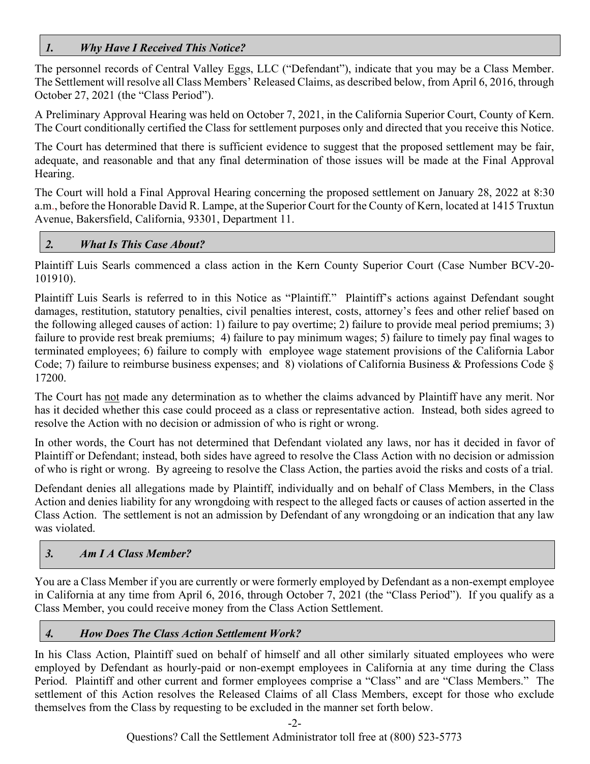## 1. Why Have I Received This Notice?

The personnel records of Central Valley Eggs, LLC ("Defendant"), indicate that you may be a Class Member. The Settlement will resolve all Class Members' Released Claims, as described below, from April 6, 2016, through October 27, 2021 (the "Class Period").

A Preliminary Approval Hearing was held on October 7, 2021, in the California Superior Court, County of Kern. The Court conditionally certified the Class for settlement purposes only and directed that you receive this Notice.

The Court has determined that there is sufficient evidence to suggest that the proposed settlement may be fair, adequate, and reasonable and that any final determination of those issues will be made at the Final Approval Hearing.

The Court will hold a Final Approval Hearing concerning the proposed settlement on January 28, 2022 at 8:30 a.m., before the Honorable David R. Lampe, at the Superior Court for the County of Kern, located at 1415 Truxtun Avenue, Bakersfield, California, 93301, Department 11.

### 2. What Is This Case About?

Plaintiff Luis Searls commenced a class action in the Kern County Superior Court (Case Number BCV-20- 101910).

Plaintiff Luis Searls is referred to in this Notice as "Plaintiff." Plaintiff's actions against Defendant sought damages, restitution, statutory penalties, civil penalties interest, costs, attorney's fees and other relief based on the following alleged causes of action: 1) failure to pay overtime; 2) failure to provide meal period premiums; 3) failure to provide rest break premiums; 4) failure to pay minimum wages; 5) failure to timely pay final wages to terminated employees; 6) failure to comply with employee wage statement provisions of the California Labor Code; 7) failure to reimburse business expenses; and 8) violations of California Business & Professions Code § 17200.

The Court has not made any determination as to whether the claims advanced by Plaintiff have any merit. Nor has it decided whether this case could proceed as a class or representative action. Instead, both sides agreed to resolve the Action with no decision or admission of who is right or wrong.

In other words, the Court has not determined that Defendant violated any laws, nor has it decided in favor of Plaintiff or Defendant; instead, both sides have agreed to resolve the Class Action with no decision or admission of who is right or wrong. By agreeing to resolve the Class Action, the parties avoid the risks and costs of a trial.

Defendant denies all allegations made by Plaintiff, individually and on behalf of Class Members, in the Class Action and denies liability for any wrongdoing with respect to the alleged facts or causes of action asserted in the Class Action. The settlement is not an admission by Defendant of any wrongdoing or an indication that any law was violated.

## 3. Am I A Class Member?

You are a Class Member if you are currently or were formerly employed by Defendant as a non-exempt employee in California at any time from April 6, 2016, through October 7, 2021 (the "Class Period"). If you qualify as a Class Member, you could receive money from the Class Action Settlement.

#### 4. How Does The Class Action Settlement Work?

In his Class Action, Plaintiff sued on behalf of himself and all other similarly situated employees who were employed by Defendant as hourly-paid or non-exempt employees in California at any time during the Class Period. Plaintiff and other current and former employees comprise a "Class" and are "Class Members." The settlement of this Action resolves the Released Claims of all Class Members, except for those who exclude themselves from the Class by requesting to be excluded in the manner set forth below.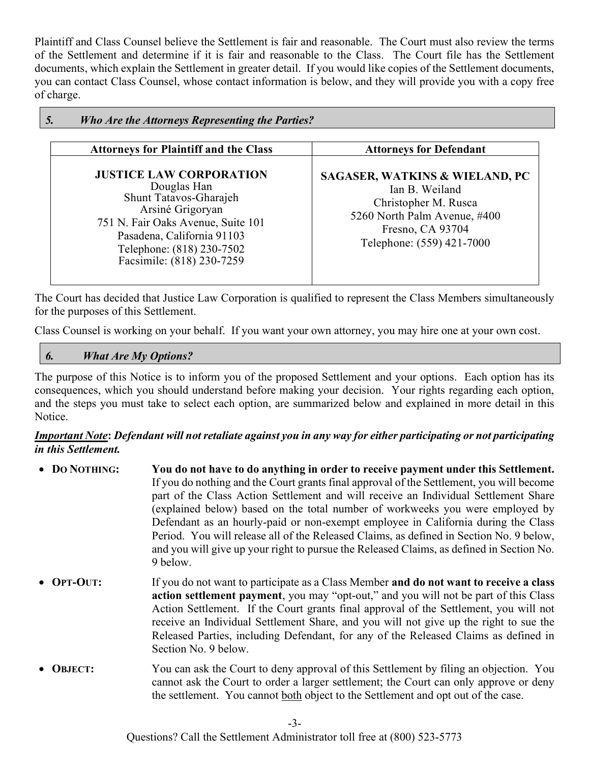Plaintiff and Class Counsel believe the Settlement is fair and reasonable. The Court must also review the terms of the Settlement and determine if it is fair and reasonable to the Class. The Court file has the Settlement documents, which explain the Settlement in greater detail. If you would like copies of the Settlement documents, you can contact Class Counsel, whose contact information is below, and they will provide you with a copy free of charge.

#### 5. Who Are the Attorneys Representing the Parties?

| <b>Attorneys for Plaintiff and the Class</b>                                                                                                                                                                              | <b>Attorneys for Defendant</b>                                                                                                                                       |
|---------------------------------------------------------------------------------------------------------------------------------------------------------------------------------------------------------------------------|----------------------------------------------------------------------------------------------------------------------------------------------------------------------|
| <b>JUSTICE LAW CORPORATION</b><br>Douglas Han<br>Shunt Tatavos-Gharajeh<br>Arsiné Grigoryan<br>751 N. Fair Oaks Avenue, Suite 101<br>Pasadena, California 91103<br>Telephone: (818) 230-7502<br>Facsimile: (818) 230-7259 | <b>SAGASER, WATKINS &amp; WIELAND, PC</b><br>Ian B. Weiland<br>Christopher M. Rusca<br>5260 North Palm Avenue, #400<br>Fresno, CA 93704<br>Telephone: (559) 421-7000 |

The Court has decided that Justice Law Corporation is qualified to represent the Class Members simultaneously for the purposes of this Settlement.

Class Counsel is working on your behalf. If you want your own attorney, you may hire one at your own cost.

#### 6. What Are My Options?

The purpose of this Notice is to inform you of the proposed Settlement and your options. Each option has its consequences, which you should understand before making your decision. Your rights regarding each option, and the steps you must take to select each option, are summarized below and explained in more detail in this Notice.

#### **Important Note: Defendant will not retaliate against you in any way for either participating or not participating** in this Settlement.

| • DO NOTHING:      | You do not have to do anything in order to receive payment under this Settlement.<br>If you do nothing and the Court grants final approval of the Settlement, you will become<br>part of the Class Action Settlement and will receive an Individual Settlement Share<br>(explained below) based on the total number of workweeks you were employed by<br>Defendant as an hourly-paid or non-exempt employee in California during the Class<br>Period. You will release all of the Released Claims, as defined in Section No. 9 below,<br>and you will give up your right to pursue the Released Claims, as defined in Section No.<br>9 below. |
|--------------------|-----------------------------------------------------------------------------------------------------------------------------------------------------------------------------------------------------------------------------------------------------------------------------------------------------------------------------------------------------------------------------------------------------------------------------------------------------------------------------------------------------------------------------------------------------------------------------------------------------------------------------------------------|
| $\bullet$ OPT-OUT: | If you do not want to participate as a Class Member and do not want to receive a class<br>action settlement payment, you may "opt-out," and you will not be part of this Class<br>Action Settlement. If the Court grants final approval of the Settlement, you will not<br>receive an Individual Settlement Share, and you will not give up the right to sue the<br>Released Parties, including Defendant, for any of the Released Claims as defined in<br>Section No. 9 below.                                                                                                                                                               |
| <b>OBJECT:</b>     | You can ask the Court to deny approval of this Settlement by filing an objection. You<br>cannot ask the Court to order a larger settlement; the Court can only approve or deny<br>the settlement. You cannot both object to the Settlement and opt out of the case.                                                                                                                                                                                                                                                                                                                                                                           |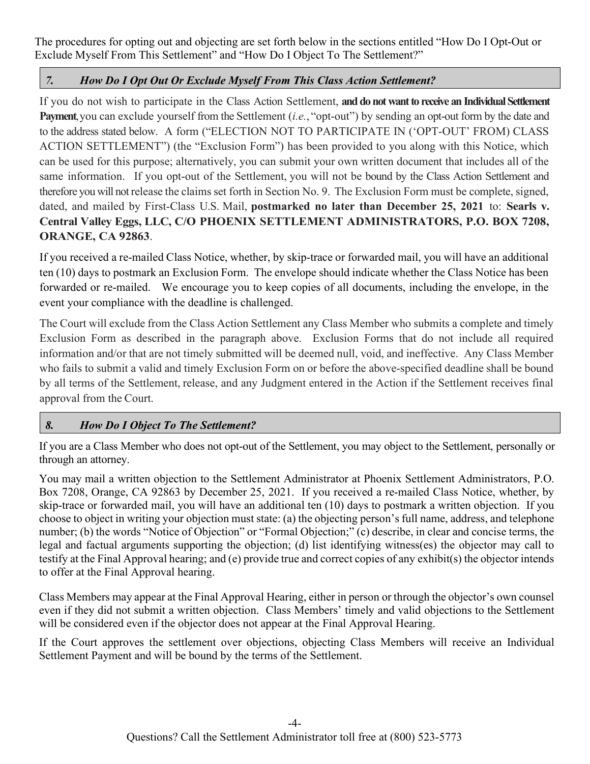The procedures for opting out and objecting are set forth below in the sections entitled "How Do I Opt-Out or Exclude Myself From This Settlement" and "How Do I Object To The Settlement?"

## 7. How Do I Opt Out Or Exclude Myself From This Class Action Settlement?

If you do not wish to participate in the Class Action Settlement, and do not want to receive an Individual Settlement Payment, you can exclude yourself from the Settlement (*i.e.*, "opt-out") by sending an opt-out form by the date and to the address stated below. A form ("ELECTION NOT TO PARTICIPATE IN ('OPT-OUT' FROM) CLASS ACTION SETTLEMENT") (the "Exclusion Form") has been provided to you along with this Notice, which can be used for this purpose; alternatively, you can submit your own written document that includes all of the same information. If you opt-out of the Settlement, you will not be bound by the Class Action Settlement and therefore you will not release the claims set forth in Section No. 9. The Exclusion Form must be complete, signed, dated, and mailed by First-Class U.S. Mail, postmarked no later than December 25, 2021 to: Searls v. Central Valley Eggs, LLC, C/O PHOENIX SETTLEMENT ADMINISTRATORS, P.O. BOX 7208, ORANGE, CA 92863.

If you received a re-mailed Class Notice, whether, by skip-trace or forwarded mail, you will have an additional ten (10) days to postmark an Exclusion Form. The envelope should indicate whether the Class Notice has been forwarded or re-mailed. We encourage you to keep copies of all documents, including the envelope, in the event your compliance with the deadline is challenged.

The Court will exclude from the Class Action Settlement any Class Member who submits a complete and timely Exclusion Form as described in the paragraph above. Exclusion Forms that do not include all required information and/or that are not timely submitted will be deemed null, void, and ineffective. Any Class Member who fails to submit a valid and timely Exclusion Form on or before the above-specified deadline shall be bound by all terms of the Settlement, release, and any Judgment entered in the Action if the Settlement receives final approval from the Court.

# 8. How Do I Object To The Settlement?

If you are a Class Member who does not opt-out of the Settlement, you may object to the Settlement, personally or through an attorney.

You may mail a written objection to the Settlement Administrator at Phoenix Settlement Administrators, P.O. Box 7208, Orange, CA 92863 by December 25, 2021. If you received a re-mailed Class Notice, whether, by skip-trace or forwarded mail, you will have an additional ten (10) days to postmark a written objection. If you choose to object in writing your objection must state: (a) the objecting person's full name, address, and telephone number; (b) the words "Notice of Objection" or "Formal Objection;" (c) describe, in clear and concise terms, the legal and factual arguments supporting the objection; (d) list identifying witness(es) the objector may call to testify at the Final Approval hearing; and (e) provide true and correct copies of any exhibit(s) the objector intends to offer at the Final Approval hearing.

Class Members may appear at the Final Approval Hearing, either in person or through the objector's own counsel even if they did not submit a written objection. Class Members' timely and valid objections to the Settlement will be considered even if the objector does not appear at the Final Approval Hearing.

If the Court approves the settlement over objections, objecting Class Members will receive an Individual Settlement Payment and will be bound by the terms of the Settlement.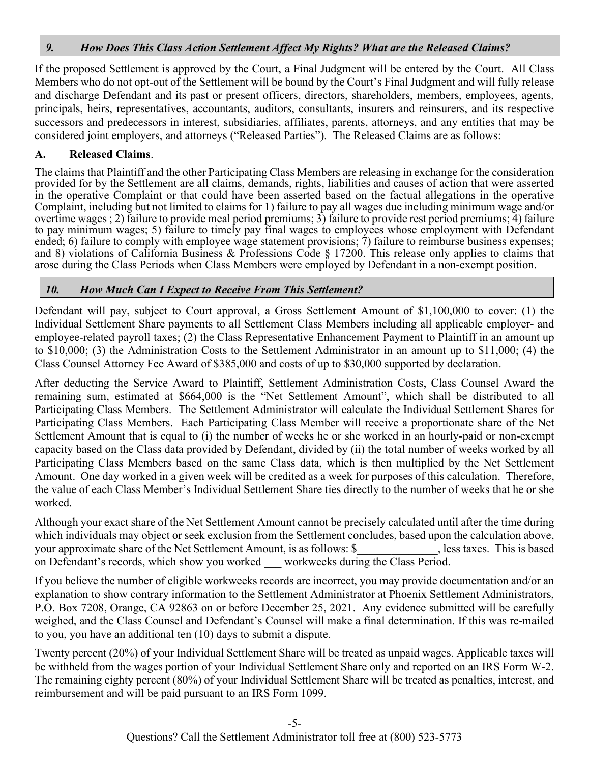# 9. How Does This Class Action Settlement Affect My Rights? What are the Released Claims?

If the proposed Settlement is approved by the Court, a Final Judgment will be entered by the Court. All Class Members who do not opt-out of the Settlement will be bound by the Court's Final Judgment and will fully release and discharge Defendant and its past or present officers, directors, shareholders, members, employees, agents, principals, heirs, representatives, accountants, auditors, consultants, insurers and reinsurers, and its respective successors and predecessors in interest, subsidiaries, affiliates, parents, attorneys, and any entities that may be considered joint employers, and attorneys ("Released Parties"). The Released Claims are as follows:

### A. Released Claims.

The claims that Plaintiff and the other Participating Class Members are releasing in exchange for the consideration provided for by the Settlement are all claims, demands, rights, liabilities and causes of action that were asserted in the operative Complaint or that could have been asserted based on the factual allegations in the operative Complaint, including but not limited to claims for 1) failure to pay all wages due including minimum wage and/or overtime wages ; 2) failure to provide meal period premiums; 3) failure to provide rest period premiums; 4) failure to pay minimum wages; 5) failure to timely pay final wages to employees whose employment with Defendant ended; 6) failure to comply with employee wage statement provisions; 7) failure to reimburse business expenses; and 8) violations of California Business & Professions Code § 17200. This release only applies to claims that arose during the Class Periods when Class Members were employed by Defendant in a non-exempt position.

## 10. How Much Can I Expect to Receive From This Settlement?

Defendant will pay, subject to Court approval, a Gross Settlement Amount of \$1,100,000 to cover: (1) the Individual Settlement Share payments to all Settlement Class Members including all applicable employer- and employee-related payroll taxes; (2) the Class Representative Enhancement Payment to Plaintiff in an amount up to \$10,000; (3) the Administration Costs to the Settlement Administrator in an amount up to \$11,000; (4) the Class Counsel Attorney Fee Award of \$385,000 and costs of up to \$30,000 supported by declaration.

After deducting the Service Award to Plaintiff, Settlement Administration Costs, Class Counsel Award the remaining sum, estimated at \$664,000 is the "Net Settlement Amount", which shall be distributed to all Participating Class Members. The Settlement Administrator will calculate the Individual Settlement Shares for Participating Class Members. Each Participating Class Member will receive a proportionate share of the Net Settlement Amount that is equal to (i) the number of weeks he or she worked in an hourly-paid or non-exempt capacity based on the Class data provided by Defendant, divided by (ii) the total number of weeks worked by all Participating Class Members based on the same Class data, which is then multiplied by the Net Settlement Amount. One day worked in a given week will be credited as a week for purposes of this calculation. Therefore, the value of each Class Member's Individual Settlement Share ties directly to the number of weeks that he or she worked.

Although your exact share of the Net Settlement Amount cannot be precisely calculated until after the time during which individuals may object or seek exclusion from the Settlement concludes, based upon the calculation above, your approximate share of the Net Settlement Amount, is as follows: \$ , less taxes. This is based on Defendant's records, which show you worked \_\_\_ workweeks during the Class Period.

If you believe the number of eligible workweeks records are incorrect, you may provide documentation and/or an explanation to show contrary information to the Settlement Administrator at Phoenix Settlement Administrators, P.O. Box 7208, Orange, CA 92863 on or before December 25, 2021. Any evidence submitted will be carefully weighed, and the Class Counsel and Defendant's Counsel will make a final determination. If this was re-mailed to you, you have an additional ten (10) days to submit a dispute.

Twenty percent (20%) of your Individual Settlement Share will be treated as unpaid wages. Applicable taxes will be withheld from the wages portion of your Individual Settlement Share only and reported on an IRS Form W-2. The remaining eighty percent (80%) of your Individual Settlement Share will be treated as penalties, interest, and reimbursement and will be paid pursuant to an IRS Form 1099.